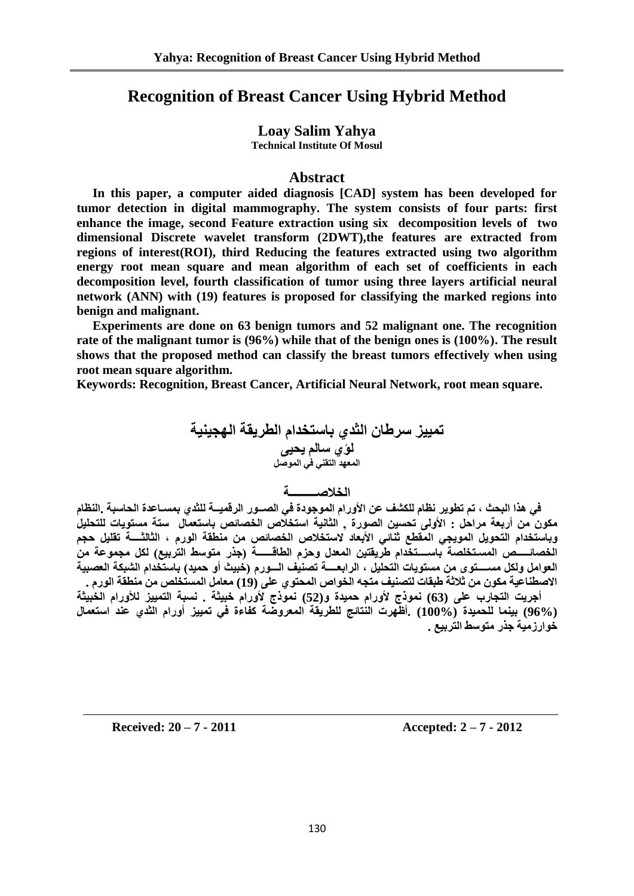# **Recognition of Breast Cancer Using Hybrid Method**

## **Loay Salim Yahya**

**Technical Institute Of Mosul**

#### **Abstract**

 **In this paper, a computer aided diagnosis [CAD] system has been developed for tumor detection in digital mammography. The system consists of four parts: first enhance the image, second Feature extraction using six decomposition levels of two dimensional Discrete wavelet transform (2DWT),the features are extracted from regions of interest(ROI), third Reducing the features extracted using two algorithm energy root mean square and mean algorithm of each set of coefficients in each decomposition level, fourth classification of tumor using three layers artificial neural network (ANN) with (19) features is proposed for classifying the marked regions into benign and malignant.** 

 **Experiments are done on 63 benign tumors and 52 malignant one. The recognition rate of the malignant tumor is (96%) while that of the benign ones is (100%). The result shows that the proposed method can classify the breast tumors effectively when using root mean square algorithm.**

**Keywords: Recognition, Breast Cancer, Artificial Neural Network, root mean square.**

تمييز سرطا*ن* الث*ذي* باستخدام الطريقة الهجينية لؤي سالم يحي*ى* ا**لمعهد التقن***ي* **ف***ي* **الموصل** 

## **انخالطـــــــــت**

في هذا البحث ، تم تطوير نظام للكشف عن الأورام الموجودة في الصــور الرقميـــة للثدي بمســاعدة الحاسبة .النظام مكون من أربعة مراحل : الأولى تحسين الصورة , الثانية استخلاص الخصائص باستعمال ستة مستويات للتحليل وباستخدام التحويل المويجى المقطع ثُنائ*ي* الأبعاد لاستخلاص الخصائص من منطقة الورم ، الثالثــــة تقليل حجم الخصائـــــص المسـتخلصة باســـتخدام طريقتين المعدل وحزم الطاقــــــة (جذر متوسط التربيع) لكل مجموعة من العوامل ولكل مســــتوى من مستويات التحليل ، الرابعــــة تصنيف الـــورم (خَبيث أو حميد) باستخدام الشبكة العصبية الاصطناعية مكون من ثلاثة طبقات لتصنيف متجه الخواص المحتوي على (19) معامل المستخلص من منطقة الورم .

أجريت التجارب على (63) نموذج لأورام حميدة و(52) نموذج لأورام خبيثة . نسبة التمييز للأورام الخبيثة **(96%) بًُُا نهحًُذة (100%) .أظهشث انُخائح نهطشَقت انًعشوضت كفاءة فٍ حًُُض أوساو انثذٌ عُذ اسخعًال خىاسصيُت خزس يخىسط انخشبُع .**

**Received: 20 – 7 - 2011 Accepted: 2 – 7 - 2012**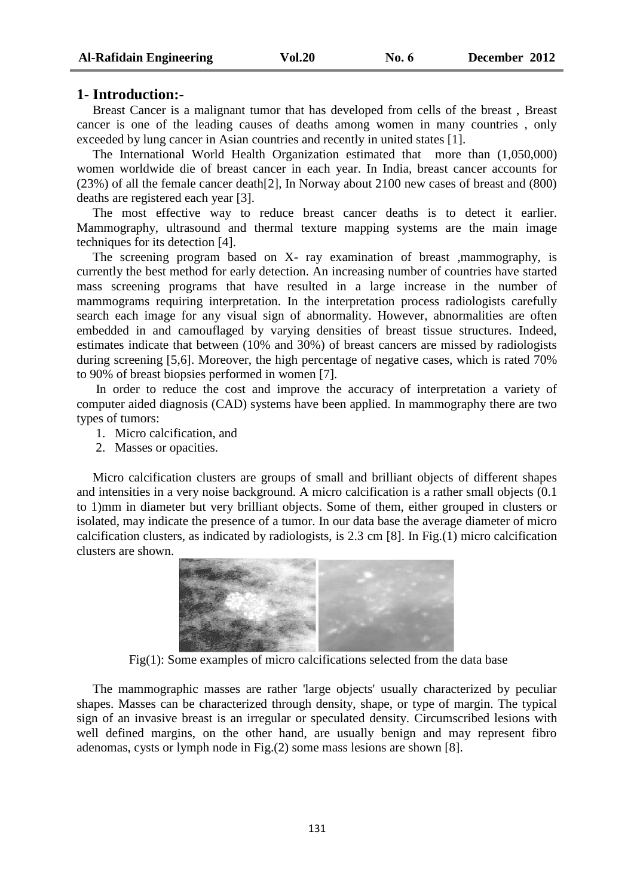#### **1- Introduction:-**

 Breast Cancer is a malignant tumor that has developed from cells of the breast , Breast cancer is one of the leading causes of deaths among women in many countries , only exceeded by lung cancer in Asian countries and recently in united states [1].

 The International World Health Organization estimated that more than (1,050,000) women worldwide die of breast cancer in each year. In India, breast cancer accounts for (23%) of all the female cancer death[2], In Norway about 2100 new cases of breast and (800) deaths are registered each year [3].

 The most effective way to reduce breast cancer deaths is to detect it earlier. Mammography, ultrasound and thermal texture mapping systems are the main image techniques for its detection [4].

 The screening program based on X- ray examination of breast ,mammography, is currently the best method for early detection. An increasing number of countries have started mass screening programs that have resulted in a large increase in the number of mammograms requiring interpretation. In the interpretation process radiologists carefully search each image for any visual sign of abnormality. However, abnormalities are often embedded in and camouflaged by varying densities of breast tissue structures. Indeed, estimates indicate that between (10% and 30%) of breast cancers are missed by radiologists during screening [5,6]. Moreover, the high percentage of negative cases, which is rated 70% to 90% of breast biopsies performed in women [7].

 In order to reduce the cost and improve the accuracy of interpretation a variety of computer aided diagnosis (CAD) systems have been applied. In mammography there are two types of tumors:

- 1. Micro calcification, and
- 2. Masses or opacities.

 Micro calcification clusters are groups of small and brilliant objects of different shapes and intensities in a very noise background. A micro calcification is a rather small objects (0.1 to 1)mm in diameter but very brilliant objects. Some of them, either grouped in clusters or isolated, may indicate the presence of a tumor. In our data base the average diameter of micro calcification clusters, as indicated by radiologists, is 2.3 cm [8]. In Fig.(1) micro calcification clusters are shown.



Fig(1): Some examples of micro calcifications selected from the data base

 The mammographic masses are rather 'large objects' usually characterized by peculiar shapes. Masses can be characterized through density, shape, or type of margin. The typical sign of an invasive breast is an irregular or speculated density. Circumscribed lesions with well defined margins, on the other hand, are usually benign and may represent fibro adenomas, cysts or lymph node in Fig.(2) some mass lesions are shown [8].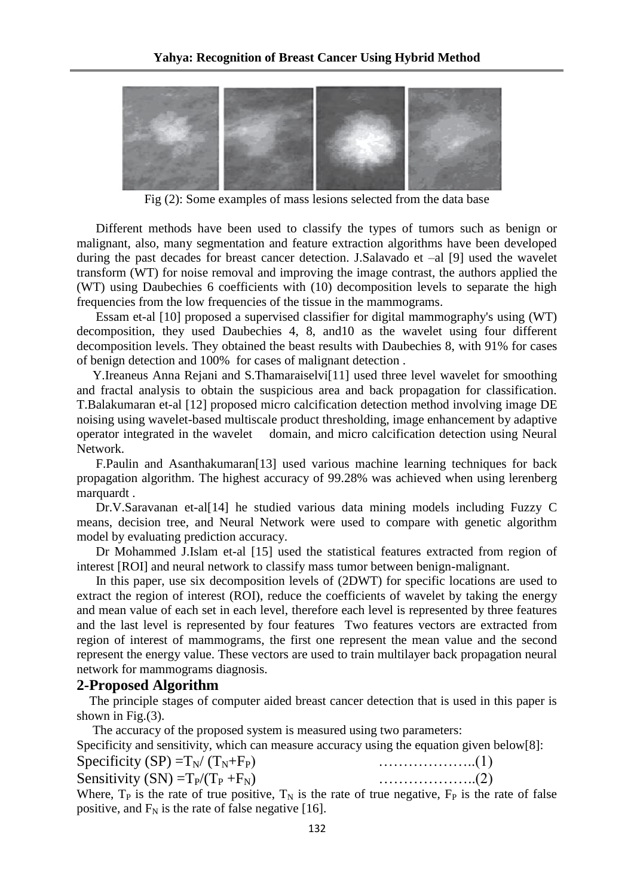

Fig (2): Some examples of mass lesions selected from the data base

 Different methods have been used to classify the types of tumors such as benign or malignant, also, many segmentation and feature extraction algorithms have been developed during the past decades for breast cancer detection. J.Salavado et –al [9] used the wavelet transform (WT) for noise removal and improving the image contrast, the authors applied the (WT) using Daubechies 6 coefficients with (10) decomposition levels to separate the high frequencies from the low frequencies of the tissue in the mammograms.

 Essam et-al [10] proposed a supervised classifier for digital mammography's using (WT) decomposition, they used Daubechies 4, 8, and10 as the wavelet using four different decomposition levels. They obtained the beast results with Daubechies 8, with 91% for cases of benign detection and 100% for cases of malignant detection .

 Y.Ireaneus Anna Rejani and S.Thamaraiselvi[11] used three level wavelet for smoothing and fractal analysis to obtain the suspicious area and back propagation for classification. T.Balakumaran et-al [12] proposed micro calcification detection method involving image DE noising using wavelet-based multiscale product thresholding, image enhancement by adaptive operator integrated in the wavelet domain, and micro calcification detection using Neural Network.

 F.Paulin and Asanthakumaran[13] used various machine learning techniques for back propagation algorithm. The highest accuracy of 99.28% was achieved when using lerenberg marquardt .

 Dr.V.Saravanan et-al[14] he studied various data mining models including Fuzzy C means, decision tree, and Neural Network were used to compare with genetic algorithm model by evaluating prediction accuracy.

 Dr Mohammed J.Islam et-al [15] used the statistical features extracted from region of interest [ROI] and neural network to classify mass tumor between benign-malignant.

 In this paper, use six decomposition levels of (2DWT) for specific locations are used to extract the region of interest (ROI), reduce the coefficients of wavelet by taking the energy and mean value of each set in each level, therefore each level is represented by three features and the last level is represented by four features Two features vectors are extracted from region of interest of mammograms, the first one represent the mean value and the second represent the energy value. These vectors are used to train multilayer back propagation neural network for mammograms diagnosis.

#### **2-Proposed Algorithm**

 The principle stages of computer aided breast cancer detection that is used in this paper is shown in Fig.(3).

 The accuracy of the proposed system is measured using two parameters: Specificity and sensitivity, which can measure accuracy using the equation given below[8]:

Specificity  $(SP) = T_N / (T_N + F_P)$  …………………...(1)

Sensitivity  $(SN) = T_P/(T_P + F_N)$  …………………...(2)

Where,  $T_P$  is the rate of true positive,  $T_N$  is the rate of true negative,  $F_P$  is the rate of false positive, and  $F_N$  is the rate of false negative [16].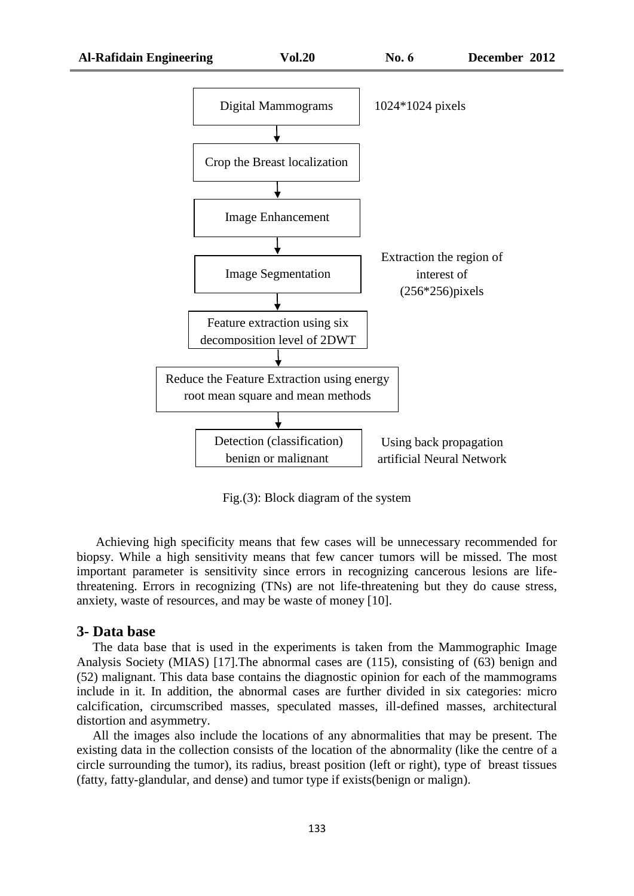

Fig.(3): Block diagram of the system

 Achieving high specificity means that few cases will be unnecessary recommended for biopsy. While a high sensitivity means that few cancer tumors will be missed. The most important parameter is sensitivity since errors in recognizing cancerous lesions are lifethreatening. Errors in recognizing (TNs) are not life-threatening but they do cause stress, anxiety, waste of resources, and may be waste of money [10].

#### **3- Data base**

 The data base that is used in the experiments is taken from the Mammographic Image Analysis Society (MIAS) [17].The abnormal cases are (115), consisting of (63) benign and (52) malignant. This data base contains the diagnostic opinion for each of the mammograms include in it. In addition, the abnormal cases are further divided in six categories: micro calcification, circumscribed masses, speculated masses, ill-defined masses, architectural distortion and asymmetry.

 All the images also include the locations of any abnormalities that may be present. The existing data in the collection consists of the location of the abnormality (like the centre of a circle surrounding the tumor), its radius, breast position (left or right), type of breast tissues (fatty, fatty-glandular, and dense) and tumor type if exists(benign or malign).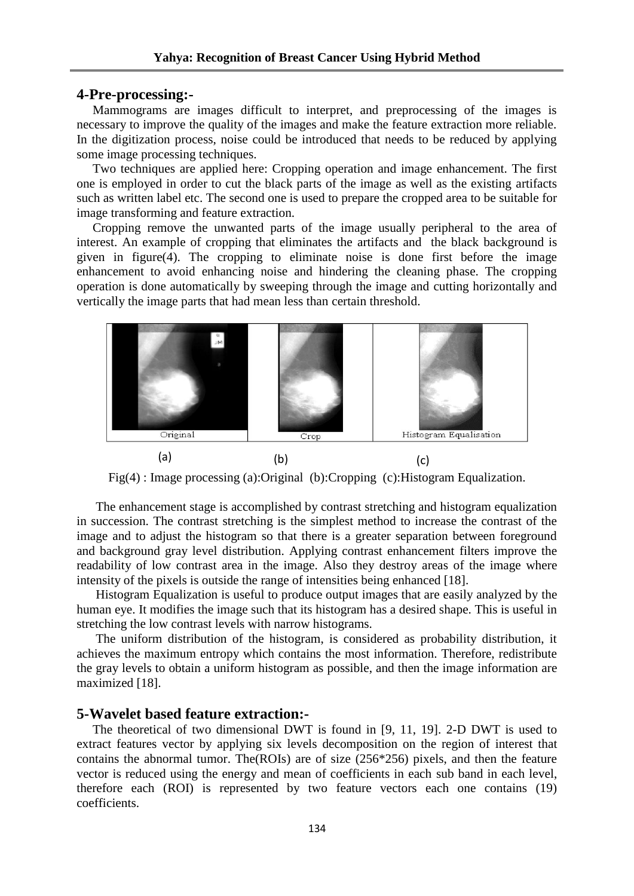#### **4-Pre-processing:-**

 Mammograms are images difficult to interpret, and preprocessing of the images is necessary to improve the quality of the images and make the feature extraction more reliable. In the digitization process, noise could be introduced that needs to be reduced by applying some image processing techniques.

 Two techniques are applied here: Cropping operation and image enhancement. The first one is employed in order to cut the black parts of the image as well as the existing artifacts such as written label etc. The second one is used to prepare the cropped area to be suitable for image transforming and feature extraction.

 Cropping remove the unwanted parts of the image usually peripheral to the area of interest. An example of cropping that eliminates the artifacts and the black background is given in figure(4). The cropping to eliminate noise is done first before the image enhancement to avoid enhancing noise and hindering the cleaning phase. The cropping operation is done automatically by sweeping through the image and cutting horizontally and vertically the image parts that had mean less than certain threshold.



Fig(4) : Image processing (a):Original (b):Cropping (c):Histogram Equalization.

 The enhancement stage is accomplished by contrast stretching and histogram equalization in succession. The contrast stretching is the simplest method to increase the contrast of the image and to adjust the histogram so that there is a greater separation between foreground and background gray level distribution. Applying contrast enhancement filters improve the readability of low contrast area in the image. Also they destroy areas of the image where intensity of the pixels is outside the range of intensities being enhanced [18].

 Histogram Equalization is useful to produce output images that are easily analyzed by the human eye. It modifies the image such that its histogram has a desired shape. This is useful in stretching the low contrast levels with narrow histograms.

 The uniform distribution of the histogram, is considered as probability distribution, it achieves the maximum entropy which contains the most information. Therefore, redistribute the gray levels to obtain a uniform histogram as possible, and then the image information are maximized [18].

## **5-Wavelet based feature extraction:-**

 The theoretical of two dimensional DWT is found in [9, 11, 19]. 2-D DWT is used to extract features vector by applying six levels decomposition on the region of interest that contains the abnormal tumor. The  $(ROIs)$  are of size (256\*256) pixels, and then the feature vector is reduced using the energy and mean of coefficients in each sub band in each level, therefore each (ROI) is represented by two feature vectors each one contains (19) coefficients.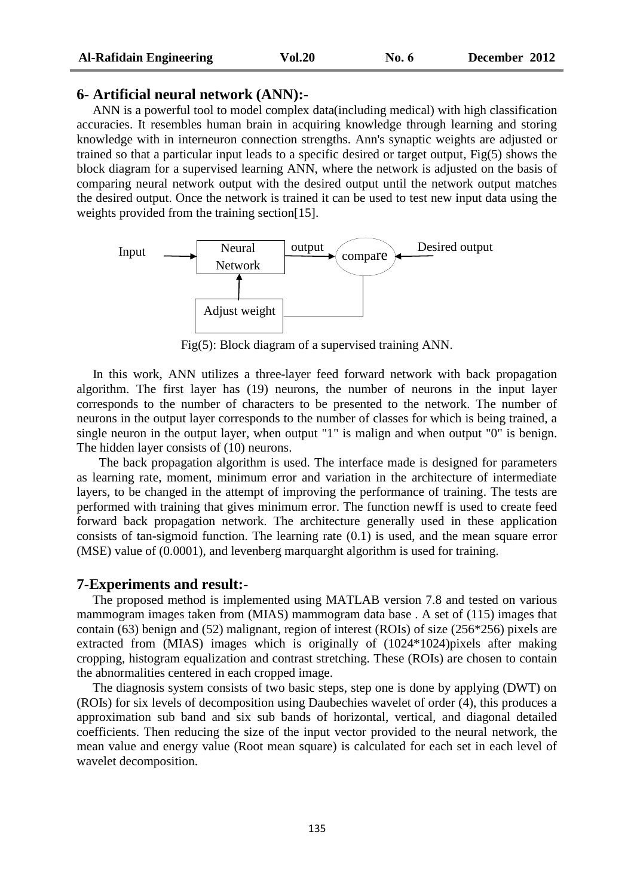## **6- Artificial neural network (ANN):-**

 ANN is a powerful tool to model complex data(including medical) with high classification accuracies. It resembles human brain in acquiring knowledge through learning and storing knowledge with in interneuron connection strengths. Ann's synaptic weights are adjusted or trained so that a particular input leads to a specific desired or target output, Fig(5) shows the block diagram for a supervised learning ANN, where the network is adjusted on the basis of comparing neural network output with the desired output until the network output matches the desired output. Once the network is trained it can be used to test new input data using the weights provided from the training section[15].



Fig(5): Block diagram of a supervised training ANN.

 In this work, ANN utilizes a three-layer feed forward network with back propagation algorithm. The first layer has (19) neurons, the number of neurons in the input layer corresponds to the number of characters to be presented to the network. The number of neurons in the output layer corresponds to the number of classes for which is being trained, a single neuron in the output layer, when output "1" is malign and when output "0" is benign. The hidden layer consists of (10) neurons.

 The back propagation algorithm is used. The interface made is designed for parameters as learning rate, moment, minimum error and variation in the architecture of intermediate layers, to be changed in the attempt of improving the performance of training. The tests are performed with training that gives minimum error. The function newff is used to create feed forward back propagation network. The architecture generally used in these application consists of tan-sigmoid function. The learning rate (0.1) is used, and the mean square error (MSE) value of (0.0001), and levenberg marquarght algorithm is used for training.

#### **7-Experiments and result:-**

 The proposed method is implemented using MATLAB version 7.8 and tested on various mammogram images taken from (MIAS) mammogram data base . A set of (115) images that contain (63) benign and (52) malignant, region of interest (ROIs) of size (256\*256) pixels are extracted from (MIAS) images which is originally of (1024\*1024)pixels after making cropping, histogram equalization and contrast stretching. These (ROIs) are chosen to contain the abnormalities centered in each cropped image.

 The diagnosis system consists of two basic steps, step one is done by applying (DWT) on (ROIs) for six levels of decomposition using Daubechies wavelet of order (4), this produces a approximation sub band and six sub bands of horizontal, vertical, and diagonal detailed coefficients. Then reducing the size of the input vector provided to the neural network, the mean value and energy value (Root mean square) is calculated for each set in each level of wavelet decomposition.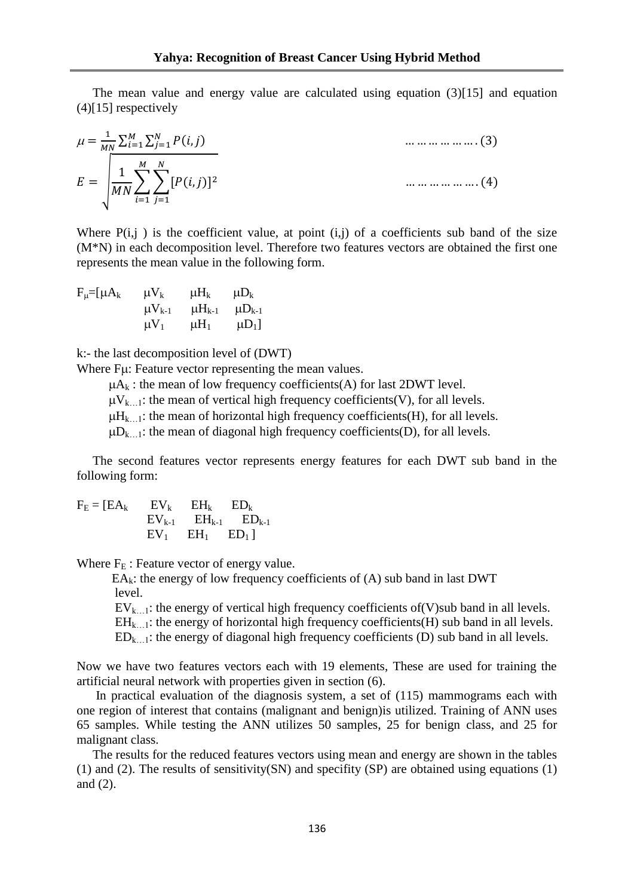The mean value and energy value are calculated using equation (3)[15] and equation (4)[15] respectively

$$
\mu = \frac{1}{MN} \sum_{i=1}^{M} \sum_{j=1}^{N} P(i,j)
$$
\n...\n...\n...\n(3)\n  
\n
$$
E = \sqrt{\frac{1}{MN} \sum_{i=1}^{M} \sum_{j=1}^{N} [P(i,j)]^2}
$$
\n...\n...\n...\n(4)

Where  $P(i,j)$  is the coefficient value, at point  $(i,j)$  of a coefficients sub band of the size (M\*N) in each decomposition level. Therefore two features vectors are obtained the first one represents the mean value in the following form.

$$
F_{\mu}=[\mu A_k \qquad \mu V_k \qquad \mu H_k \qquad \mu D_k
$$

$$
\mu V_{k-1} \qquad \mu H_{k-1} \qquad \mu D_{k-1}
$$

$$
\mu V_1 \qquad \mu H_1 \qquad \mu D_1]
$$

k:- the last decomposition level of (DWT)

Where F<sub>u</sub>: Feature vector representing the mean values.

 $\mu A_k$ : the mean of low frequency coefficients(A) for last 2DWT level.

 $\mu V_{k-1}$ : the mean of vertical high frequency coefficients(V), for all levels.

 $\mu$ H<sub>k…1</sub>: the mean of horizontal high frequency coefficients(H), for all levels.

 $\mu D_{k-1}$ : the mean of diagonal high frequency coefficients(D), for all levels.

 The second features vector represents energy features for each DWT sub band in the following form:

 $F_E = [EA_k$   $EV_k$   $EH_k$   $ED_k$  $EV_{k-1}$   $EH_{k-1}$   $ED_{k-1}$  $EV_1$   $EH_1$   $ED_1$ ]

Where  $F_E$ : Feature vector of energy value.

 $EA_k$ : the energy of low frequency coefficients of  $(A)$  sub band in last DWT level.

 $EV_{k...1}$ : the energy of vertical high frequency coefficients of (V)sub band in all levels.

 $EH_{k-1}$ : the energy of horizontal high frequency coefficients(H) sub band in all levels.

 $ED_{k...l}$ : the energy of diagonal high frequency coefficients (D) sub band in all levels.

Now we have two features vectors each with 19 elements, These are used for training the artificial neural network with properties given in section (6).

 In practical evaluation of the diagnosis system, a set of (115) mammograms each with one region of interest that contains (malignant and benign)is utilized. Training of ANN uses 65 samples. While testing the ANN utilizes 50 samples, 25 for benign class, and 25 for malignant class.

 The results for the reduced features vectors using mean and energy are shown in the tables (1) and (2). The results of sensitivity(SN) and specifity (SP) are obtained using equations (1) and (2).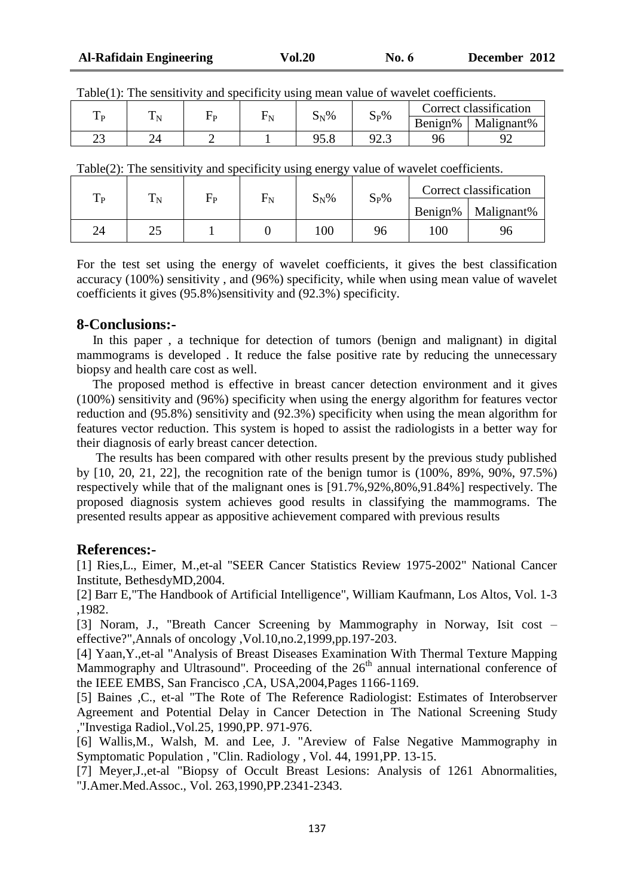| D       | Ē |  | $S_N\%$    | $S_P\%$     | Correct classification |            |
|---------|---|--|------------|-------------|------------------------|------------|
|         |   |  |            |             | Benign%                | Malignant% |
| ົ<br>رے |   |  | ∩<<br>,,,, | ഹ എ<br>ن. ک | ገረ                     |            |

| $\perp$ P | $\mathbf{r}$<br>1 <sub>N</sub> | Hр | $\Gamma_{\rm N}$ | $S_N\%$ | $S_P\%$ | Correct classification |            |
|-----------|--------------------------------|----|------------------|---------|---------|------------------------|------------|
|           |                                |    |                  |         |         | Benign%                | Malignant% |
| 24        | ∼                              |    |                  | 100     | 96      | 100                    | 96         |

For the test set using the energy of wavelet coefficients, it gives the best classification accuracy (100%) sensitivity , and (96%) specificity, while when using mean value of wavelet coefficients it gives (95.8%)sensitivity and (92.3%) specificity.

## **8-Conclusions:-**

 In this paper , a technique for detection of tumors (benign and malignant) in digital mammograms is developed . It reduce the false positive rate by reducing the unnecessary biopsy and health care cost as well.

 The proposed method is effective in breast cancer detection environment and it gives (100%) sensitivity and (96%) specificity when using the energy algorithm for features vector reduction and (95.8%) sensitivity and (92.3%) specificity when using the mean algorithm for features vector reduction. This system is hoped to assist the radiologists in a better way for their diagnosis of early breast cancer detection.

 The results has been compared with other results present by the previous study published by [10, 20, 21, 22], the recognition rate of the benign tumor is (100%, 89%, 90%, 97.5%) respectively while that of the malignant ones is [91.7%,92%,80%,91.84%] respectively. The proposed diagnosis system achieves good results in classifying the mammograms. The presented results appear as appositive achievement compared with previous results

# **References:-**

[1] Ries,L., Eimer, M.,et-al "SEER Cancer Statistics Review 1975-2002" National Cancer Institute, BethesdyMD,2004.

[2] Barr E,"The Handbook of Artificial Intelligence", William Kaufmann, Los Altos, Vol. 1-3 ,1982.

[3] Noram, J., "Breath Cancer Screening by Mammography in Norway, Isit cost – effective?",Annals of oncology ,Vol.10,no.2,1999,pp.197-203.

[4] Yaan,Y.,et-al "Analysis of Breast Diseases Examination With Thermal Texture Mapping Mammography and Ultrasound". Proceeding of the  $26<sup>th</sup>$  annual international conference of the IEEE EMBS, San Francisco ,CA, USA,2004,Pages 1166-1169.

[5] Baines ,C., et-al "The Rote of The Reference Radiologist: Estimates of Interobserver Agreement and Potential Delay in Cancer Detection in The National Screening Study ,"Investiga Radiol.,Vol.25, 1990,PP. 971-976.

[6] Wallis,M., Walsh, M. and Lee, J. "Areview of False Negative Mammography in Symptomatic Population , "Clin. Radiology , Vol. 44, 1991,PP. 13-15.

[7] Meyer,J.,et-al "Biopsy of Occult Breast Lesions: Analysis of 1261 Abnormalities, "J.Amer.Med.Assoc., Vol. 263,1990,PP.2341-2343.